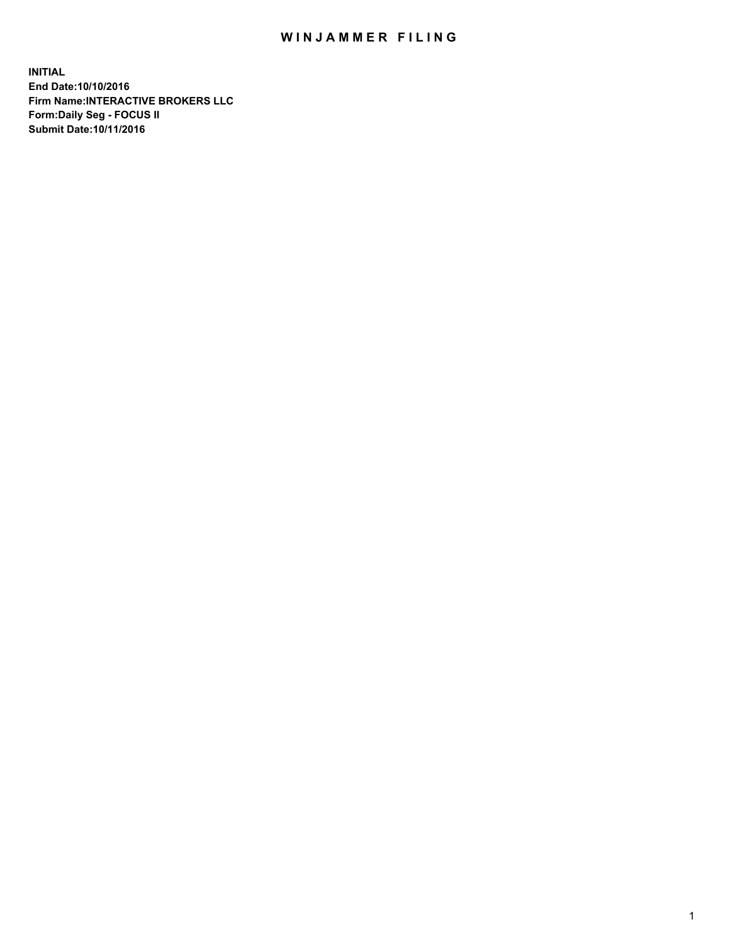## WIN JAMMER FILING

**INITIAL End Date:10/10/2016 Firm Name:INTERACTIVE BROKERS LLC Form:Daily Seg - FOCUS II Submit Date:10/11/2016**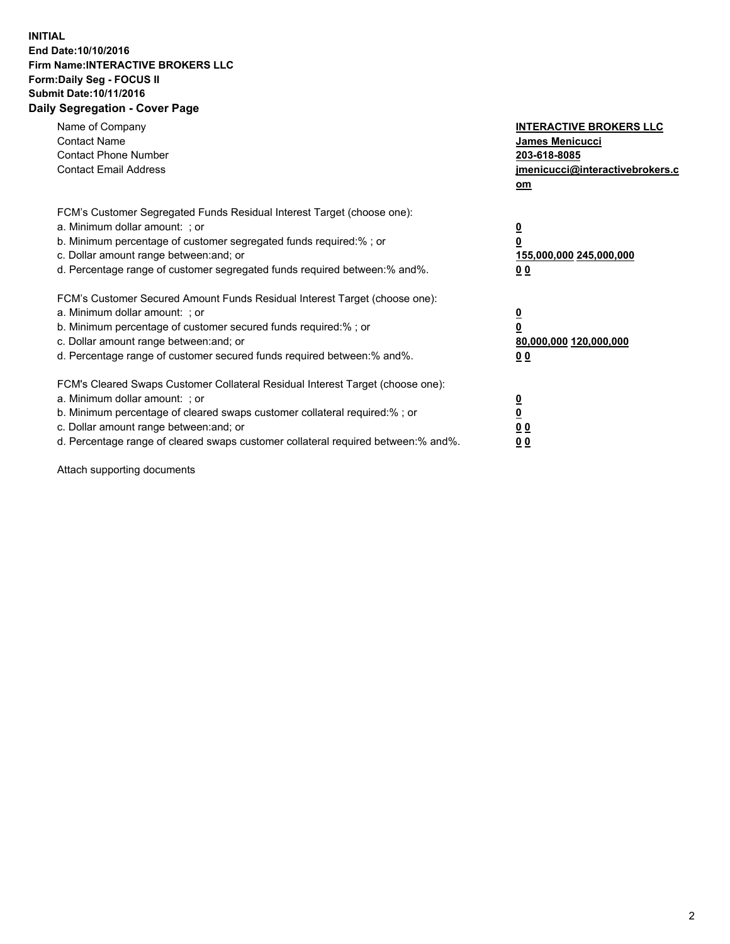## **INITIAL End Date:10/10/2016 Firm Name:INTERACTIVE BROKERS LLC Form:Daily Seg - FOCUS II Submit Date:10/11/2016 Daily Segregation - Cover Page**

| Name of Company<br><b>Contact Name</b><br><b>Contact Phone Number</b><br><b>Contact Email Address</b>                                                                                                                                                                                                                          | <b>INTERACTIVE BROKERS LLC</b><br>James Menicucci<br>203-618-8085<br><u>jmenicucci@interactivebrokers.c</u><br>om |
|--------------------------------------------------------------------------------------------------------------------------------------------------------------------------------------------------------------------------------------------------------------------------------------------------------------------------------|-------------------------------------------------------------------------------------------------------------------|
| FCM's Customer Segregated Funds Residual Interest Target (choose one):<br>a. Minimum dollar amount: ; or<br>b. Minimum percentage of customer segregated funds required:%; or<br>c. Dollar amount range between: and; or<br>d. Percentage range of customer segregated funds required between:% and%.                          | $\overline{\mathbf{0}}$<br>0<br>155,000,000 245,000,000<br>0 <sub>0</sub>                                         |
| FCM's Customer Secured Amount Funds Residual Interest Target (choose one):<br>a. Minimum dollar amount: ; or<br>b. Minimum percentage of customer secured funds required:%; or<br>c. Dollar amount range between: and; or<br>d. Percentage range of customer secured funds required between:% and%.                            | $\overline{\mathbf{0}}$<br>$\overline{\mathbf{0}}$<br>80,000,000 120,000,000<br>00                                |
| FCM's Cleared Swaps Customer Collateral Residual Interest Target (choose one):<br>a. Minimum dollar amount: ; or<br>b. Minimum percentage of cleared swaps customer collateral required:% ; or<br>c. Dollar amount range between: and; or<br>d. Percentage range of cleared swaps customer collateral required between:% and%. | $\overline{\mathbf{0}}$<br>$\overline{\mathbf{0}}$<br>0 <sub>0</sub><br><u>00</u>                                 |

Attach supporting documents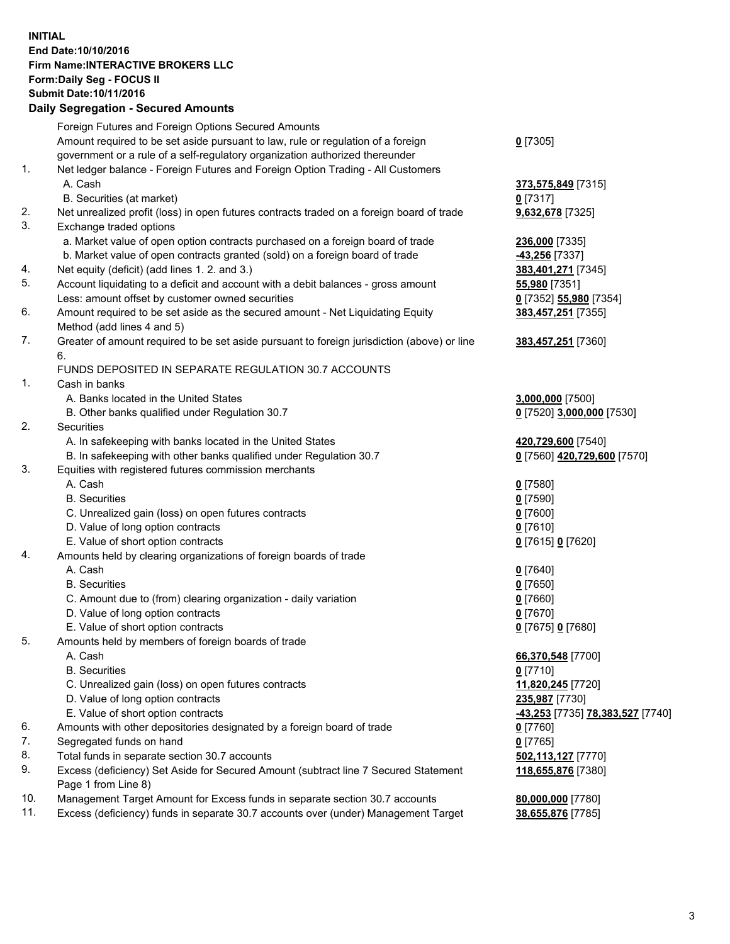## **INITIAL End Date:10/10/2016 Firm Name:INTERACTIVE BROKERS LLC Form:Daily Seg - FOCUS II Submit Date:10/11/2016 Daily Segregation - Secured Amounts**

|     | Daily Jegiegation - Jeculeu Alliounts                                                                      |                                  |
|-----|------------------------------------------------------------------------------------------------------------|----------------------------------|
|     | Foreign Futures and Foreign Options Secured Amounts                                                        |                                  |
|     | Amount required to be set aside pursuant to law, rule or regulation of a foreign                           | $0$ [7305]                       |
|     | government or a rule of a self-regulatory organization authorized thereunder                               |                                  |
| 1.  | Net ledger balance - Foreign Futures and Foreign Option Trading - All Customers                            |                                  |
|     | A. Cash                                                                                                    | 373,575,849 [7315]               |
|     | B. Securities (at market)                                                                                  | $0$ [7317]                       |
| 2.  | Net unrealized profit (loss) in open futures contracts traded on a foreign board of trade                  | 9,632,678 [7325]                 |
| 3.  | Exchange traded options                                                                                    |                                  |
|     | a. Market value of open option contracts purchased on a foreign board of trade                             | 236,000 [7335]                   |
|     | b. Market value of open contracts granted (sold) on a foreign board of trade                               | <b>43,256</b> [7337]             |
| 4.  | Net equity (deficit) (add lines 1. 2. and 3.)                                                              | 383,401,271 [7345]               |
| 5.  | Account liquidating to a deficit and account with a debit balances - gross amount                          | 55,980 [7351]                    |
|     | Less: amount offset by customer owned securities                                                           | 0 [7352] 55,980 [7354]           |
| 6.  | Amount required to be set aside as the secured amount - Net Liquidating Equity                             | 383,457,251 [7355]               |
|     | Method (add lines 4 and 5)                                                                                 |                                  |
| 7.  | Greater of amount required to be set aside pursuant to foreign jurisdiction (above) or line                | 383,457,251 [7360]               |
|     | 6.                                                                                                         |                                  |
|     | FUNDS DEPOSITED IN SEPARATE REGULATION 30.7 ACCOUNTS                                                       |                                  |
| 1.  | Cash in banks                                                                                              |                                  |
|     | A. Banks located in the United States                                                                      | 3,000,000 [7500]                 |
|     | B. Other banks qualified under Regulation 30.7                                                             | 0 [7520] 3,000,000 [7530]        |
| 2.  | Securities                                                                                                 |                                  |
|     | A. In safekeeping with banks located in the United States                                                  | 420,729,600 [7540]               |
|     | B. In safekeeping with other banks qualified under Regulation 30.7                                         | 0 [7560] 420,729,600 [7570]      |
| 3.  | Equities with registered futures commission merchants                                                      |                                  |
|     | A. Cash                                                                                                    | $0$ [7580]                       |
|     | <b>B.</b> Securities                                                                                       | $0$ [7590]                       |
|     |                                                                                                            |                                  |
|     | C. Unrealized gain (loss) on open futures contracts                                                        | $0$ [7600]                       |
|     | D. Value of long option contracts                                                                          | $0$ [7610]                       |
|     | E. Value of short option contracts                                                                         | 0 [7615] 0 [7620]                |
| 4.  | Amounts held by clearing organizations of foreign boards of trade                                          |                                  |
|     | A. Cash                                                                                                    | $0$ [7640]                       |
|     | <b>B.</b> Securities                                                                                       | $0$ [7650]                       |
|     | C. Amount due to (from) clearing organization - daily variation                                            | $0$ [7660]                       |
|     | D. Value of long option contracts                                                                          | $0$ [7670]                       |
|     | E. Value of short option contracts                                                                         | 0 [7675] 0 [7680]                |
| 5.  | Amounts held by members of foreign boards of trade                                                         |                                  |
|     | A. Cash                                                                                                    | 66,370,548 [7700]                |
|     | <b>B.</b> Securities                                                                                       | $0$ [7710]                       |
|     | C. Unrealized gain (loss) on open futures contracts                                                        | 11,820,245 [7720]                |
|     | D. Value of long option contracts                                                                          | 235,987 [7730]                   |
|     | E. Value of short option contracts                                                                         | -43,253 [7735] 78,383,527 [7740] |
| 6.  | Amounts with other depositories designated by a foreign board of trade                                     | 0 [7760]                         |
| 7.  | Segregated funds on hand                                                                                   | $0$ [7765]                       |
| 8.  | Total funds in separate section 30.7 accounts                                                              | 502,113,127 [7770]               |
| 9.  | Excess (deficiency) Set Aside for Secured Amount (subtract line 7 Secured Statement<br>Page 1 from Line 8) | 118,655,876 [7380]               |
| 10. | Management Target Amount for Excess funds in separate section 30.7 accounts                                | 80,000,000 [7780]                |
| 11. | Excess (deficiency) funds in separate 30.7 accounts over (under) Management Target                         | 38,655,876 [7785]                |
|     |                                                                                                            |                                  |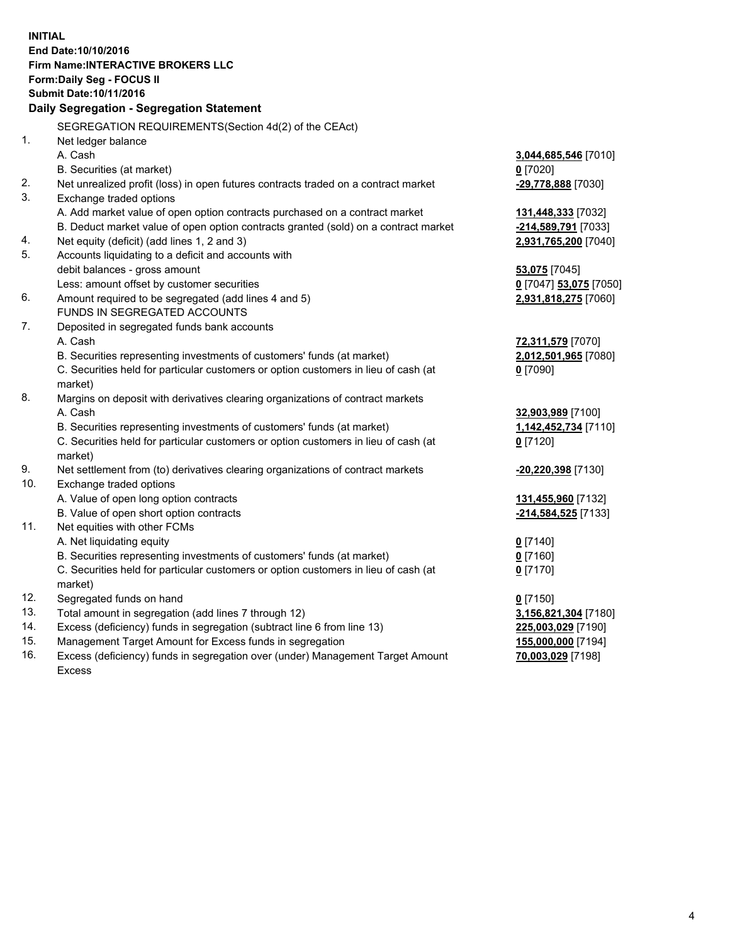**INITIAL End Date:10/10/2016 Firm Name:INTERACTIVE BROKERS LLC Form:Daily Seg - FOCUS II Submit Date:10/11/2016 Daily Segregation - Segregation Statement** SEGREGATION REQUIREMENTS(Section 4d(2) of the CEAct) 1. Net ledger balance A. Cash **3,044,685,546** [7010] B. Securities (at market) **0** [7020] 2. Net unrealized profit (loss) in open futures contracts traded on a contract market **-29,778,888** [7030] 3. Exchange traded options A. Add market value of open option contracts purchased on a contract market **131,448,333** [7032] B. Deduct market value of open option contracts granted (sold) on a contract market **-214,589,791** [7033] 4. Net equity (deficit) (add lines 1, 2 and 3) **2,931,765,200** [7040] 5. Accounts liquidating to a deficit and accounts with debit balances - gross amount **53,075** [7045] Less: amount offset by customer securities **0** [7047] **53,075** [7050] 6. Amount required to be segregated (add lines 4 and 5) **2,931,818,275** [7060] FUNDS IN SEGREGATED ACCOUNTS 7. Deposited in segregated funds bank accounts A. Cash **72,311,579** [7070] B. Securities representing investments of customers' funds (at market) **2,012,501,965** [7080] C. Securities held for particular customers or option customers in lieu of cash (at market) **0** [7090] 8. Margins on deposit with derivatives clearing organizations of contract markets A. Cash **32,903,989** [7100] B. Securities representing investments of customers' funds (at market) **1,142,452,734** [7110] C. Securities held for particular customers or option customers in lieu of cash (at market) **0** [7120] 9. Net settlement from (to) derivatives clearing organizations of contract markets **-20,220,398** [7130] 10. Exchange traded options A. Value of open long option contracts **131,455,960** [7132] B. Value of open short option contracts **-214,584,525** [7133] 11. Net equities with other FCMs A. Net liquidating equity **0** [7140] B. Securities representing investments of customers' funds (at market) **0** [7160] C. Securities held for particular customers or option customers in lieu of cash (at market) **0** [7170] 12. Segregated funds on hand **0** [7150] 13. Total amount in segregation (add lines 7 through 12) **3,156,821,304** [7180] 14. Excess (deficiency) funds in segregation (subtract line 6 from line 13) **225,003,029** [7190] 15. Management Target Amount for Excess funds in segregation **155,000,000** [7194] **70,003,029** [7198]

16. Excess (deficiency) funds in segregation over (under) Management Target Amount Excess